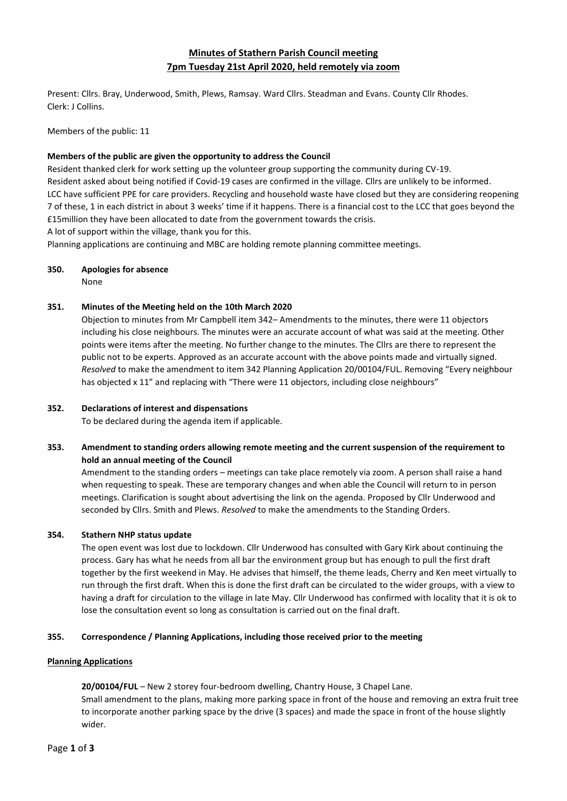# **Minutes of Stathern Parish Council meeting 7pm Tuesday 21st April 2020, held remotely via zoom**

Present: Cllrs. Bray, Underwood, Smith, Plews, Ramsay. Ward Cllrs. Steadman and Evans. County Cllr Rhodes. Clerk: J Collins.

Members of the public: 11

### **Members of the public are given the opportunity to address the Council**

Resident thanked clerk for work setting up the volunteer group supporting the community during CV-19. Resident asked about being notified if Covid-19 cases are confirmed in the village. Cllrs are unlikely to be informed. LCC have sufficient PPE for care providers. Recycling and household waste have closed but they are considering reopening 7 of these, 1 in each district in about 3 weeks' time if it happens. There is a financial cost to the LCC that goes beyond the £15million they have been allocated to date from the government towards the crisis. A lot of support within the village, thank you for this.

Planning applications are continuing and MBC are holding remote planning committee meetings.

### **350. Apologies for absence**

None

### **351. Minutes of the Meeting held on the 10th March 2020**

Objection to minutes from Mr Campbell item 342– Amendments to the minutes, there were 11 objectors including his close neighbours. The minutes were an accurate account of what was said at the meeting. Other points were items after the meeting. No further change to the minutes. The Cllrs are there to represent the public not to be experts. Approved as an accurate account with the above points made and virtually signed. *Resolved* to make the amendment to item 342 Planning Application 20/00104/FUL. Removing "Every neighbour has objected x 11" and replacing with "There were 11 objectors, including close neighbours"

### **352. Declarations of interest and dispensations**

To be declared during the agenda item if applicable.

## **353. Amendment to standing orders allowing remote meeting and the current suspension of the requirement to hold an annual meeting of the Council**

Amendment to the standing orders – meetings can take place remotely via zoom. A person shall raise a hand when requesting to speak. These are temporary changes and when able the Council will return to in person meetings. Clarification is sought about advertising the link on the agenda. Proposed by Cllr Underwood and seconded by Cllrs. Smith and Plews. *Resolved* to make the amendments to the Standing Orders.

### **354. Stathern NHP status update**

The open event was lost due to lockdown. Cllr Underwood has consulted with Gary Kirk about continuing the process. Gary has what he needs from all bar the environment group but has enough to pull the first draft together by the first weekend in May. He advises that himself, the theme leads, Cherry and Ken meet virtually to run through the first draft. When this is done the first draft can be circulated to the wider groups, with a view to having a draft for circulation to the village in late May. Cllr Underwood has confirmed with locality that it is ok to lose the consultation event so long as consultation is carried out on the final draft.

### **355. Correspondence / Planning Applications, including those received prior to the meeting**

### **Planning Applications**

**20/00104/FUL** – New 2 storey four-bedroom dwelling, Chantry House, 3 Chapel Lane. Small amendment to the plans, making more parking space in front of the house and removing an extra fruit tree to incorporate another parking space by the drive (3 spaces) and made the space in front of the house slightly wider.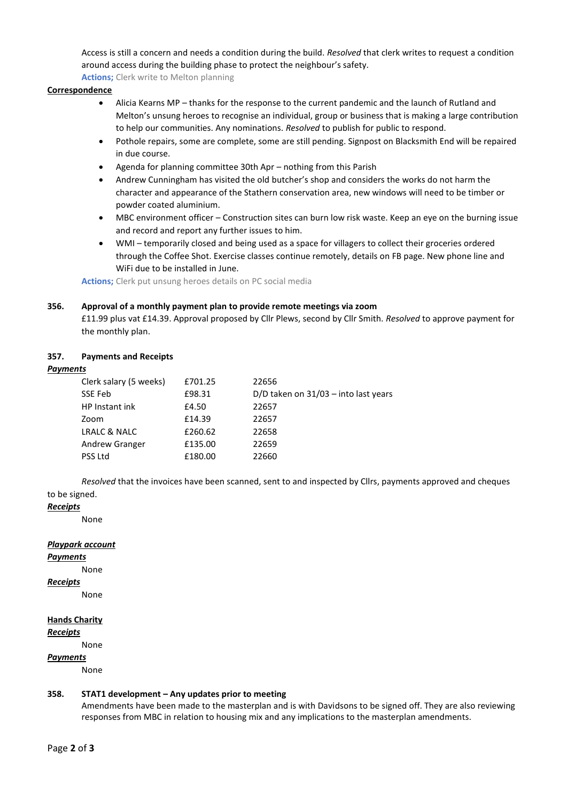Access is still a concern and needs a condition during the build. *Resolved* that clerk writes to request a condition around access during the building phase to protect the neighbour's safety.

**Actions;** Clerk write to Melton planning

### **Correspondence**

- Alicia Kearns MP thanks for the response to the current pandemic and the launch of Rutland and Melton's unsung heroes to recognise an individual, group or business that is making a large contribution to help our communities. Any nominations. *Resolved* to publish for public to respond.
- Pothole repairs, some are complete, some are still pending. Signpost on Blacksmith End will be repaired in due course.
- Agenda for planning committee 30th Apr nothing from this Parish
- Andrew Cunningham has visited the old butcher's shop and considers the works do not harm the character and appearance of the Stathern conservation area, new windows will need to be timber or powder coated aluminium.
- MBC environment officer Construction sites can burn low risk waste. Keep an eye on the burning issue and record and report any further issues to him.
- WMI temporarily closed and being used as a space for villagers to collect their groceries ordered through the Coffee Shot. Exercise classes continue remotely, details on FB page. New phone line and WiFi due to be installed in June.

**Actions;** Clerk put unsung heroes details on PC social media

### **356. Approval of a monthly payment plan to provide remote meetings via zoom**

£11.99 plus vat £14.39. Approval proposed by Cllr Plews, second by Cllr Smith. *Resolved* to approve payment for the monthly plan.

### **357. Payments and Receipts**

### *Payments*

| £701.25 | 22656                                  |
|---------|----------------------------------------|
| £98.31  | D/D taken on $31/03$ – into last years |
| £4.50   | 22657                                  |
| £14.39  | 22657                                  |
| £260.62 | 22658                                  |
| £135.00 | 22659                                  |
| £180.00 | 22660                                  |
|         |                                        |

*Resolved* that the invoices have been scanned, sent to and inspected by Cllrs, payments approved and cheques to be signed.

### *Receipts*

None

### *Playpark account*

*Payments*

None

*Receipts*

None

# **Hands Charity**

*Receipts*

None

### *Payments*

None

### **358. STAT1 development – Any updates prior to meeting**

Amendments have been made to the masterplan and is with Davidsons to be signed off. They are also reviewing responses from MBC in relation to housing mix and any implications to the masterplan amendments.